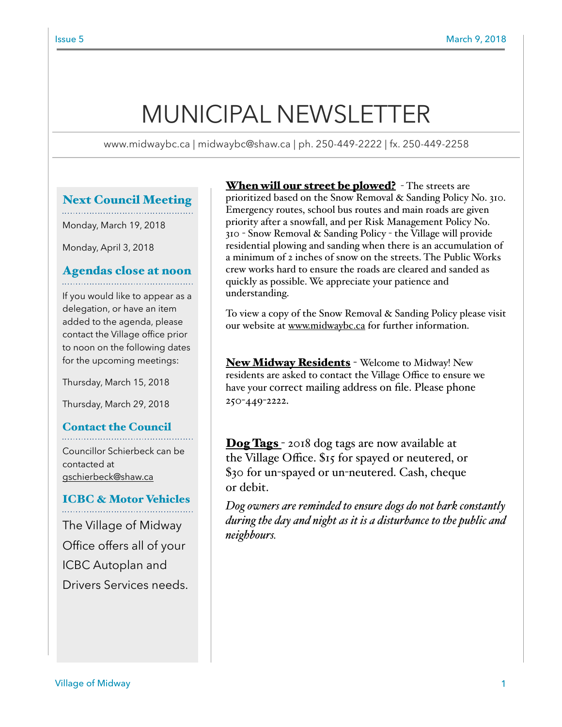# MUNICIPAL NEWSLETTER

www.midwaybc.ca | midwaybc@shaw.ca | ph. 250-449-2222 | fx. 250-449-2258

# Next Council Meeting

Monday, March 19, 2018

Monday, April 3, 2018

# Agendas close at noon

If you would like to appear as a delegation, or have an item added to the agenda, please contact the Village office prior to noon on the following dates for the upcoming meetings:

Thursday, March 15, 2018

Thursday, March 29, 2018

# Contact the Council

Councillor Schierbeck can be contacted at [gschierbeck@shaw.ca](mailto:gschierbeck@shaw.ca)

# ICBC & Motor Vehicles

The Village of Midway Office offers all of your ICBC Autoplan and Drivers Services needs.

**When will our street be plowed?** - The streets are prioritized based on the Snow Removal & Sanding Policy No. 310. Emergency routes, school bus routes and main roads are given priority after a snowfall, and per Risk Management Policy No. 310 - Snow Removal & Sanding Policy - the Village will provide residential plowing and sanding when there is an accumulation of a minimum of 2 inches of snow on the streets. The Public Works crew works hard to ensure the roads are cleared and sanded as quickly as possible. We appreciate your patience and understanding.

To view a copy of the Snow Removal & Sanding Policy please visit our website at [www.midwaybc.ca](http://www.midwaybc.ca) for further information.

New Midway Residents - Welcome to Midway! New residents are asked to contact the Village Office to ensure we have your correct mailing address on file. Please phone 250-449-2222.

**Dog Tags** - 2018 dog tags are now available at the Village Office. \$15 for spayed or neutered, or \$30 for un-spayed or un-neutered. Cash, cheque or debit.

*Dog owners are reminded to ensure dogs do not bark constantly during the day and night as it is a disturbance to the public and neighbours.*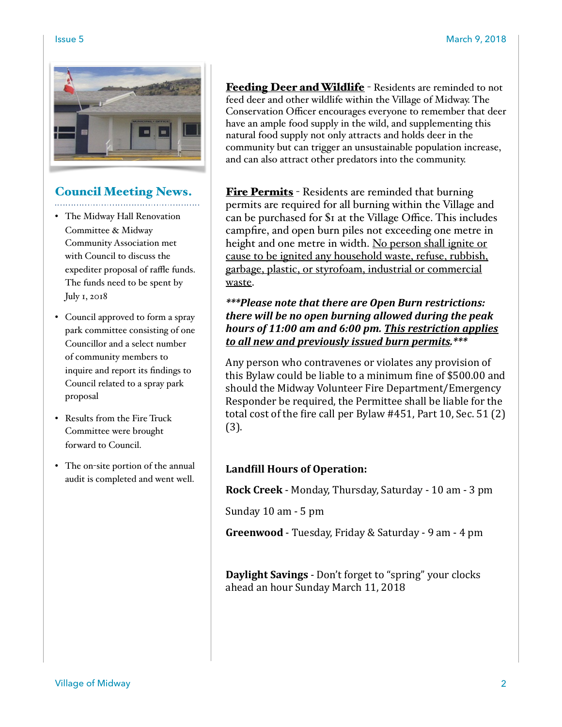

#### Council Meeting News.

- The Midway Hall Renovation Committee & Midway Community Association met with Council to discuss the expediter proposal of raffle funds. The funds need to be spent by July 1, 2018
- Council approved to form a spray park committee consisting of one Councillor and a select number of community members to inquire and report its findings to Council related to a spray park proposal
- Results from the Fire Truck Committee were brought forward to Council.
- The on-site portion of the annual audit is completed and went well.

Feeding Deer and Wildlife - Residents are reminded to not feed deer and other wildlife within the Village of Midway. The Conservation Officer encourages everyone to remember that deer have an ample food supply in the wild, and supplementing this natural food supply not only attracts and holds deer in the community but can trigger an unsustainable population increase, and can also attract other predators into the community.

**Fire Permits** - Residents are reminded that burning permits are required for all burning within the Village and can be purchased for \$1 at the Village Office. This includes campfire, and open burn piles not exceeding one metre in height and one metre in width. No person shall ignite or cause to be ignited any household waste, refuse, rubbish, garbage, plastic, or styrofoam, industrial or commercial waste.

# *\*\*\*Please note that there are Open Burn restrictions: there* will be no open burning allowed during the peak hours of 11:00 am and 6:00 pm. This restriction applies to all new and previously issued burn permits.\*\*\*

Any person who contravenes or violates any provision of this Bylaw could be liable to a minimum fine of \$500.00 and should the Midway Volunteer Fire Department/Emergency Responder be required, the Permittee shall be liable for the total cost of the fire call per Bylaw  $\#451$ , Part 10, Sec. 51 (2) (3). 

# Landfill Hours of Operation:

**Rock Creek** - Monday, Thursday, Saturday - 10 am - 3 pm

Sunday  $10$  am  $-5$  pm

**Greenwood** - Tuesday, Friday & Saturday - 9 am - 4 pm

**Daylight Savings** - Don't forget to "spring" your clocks ahead an hour Sunday March 11, 2018